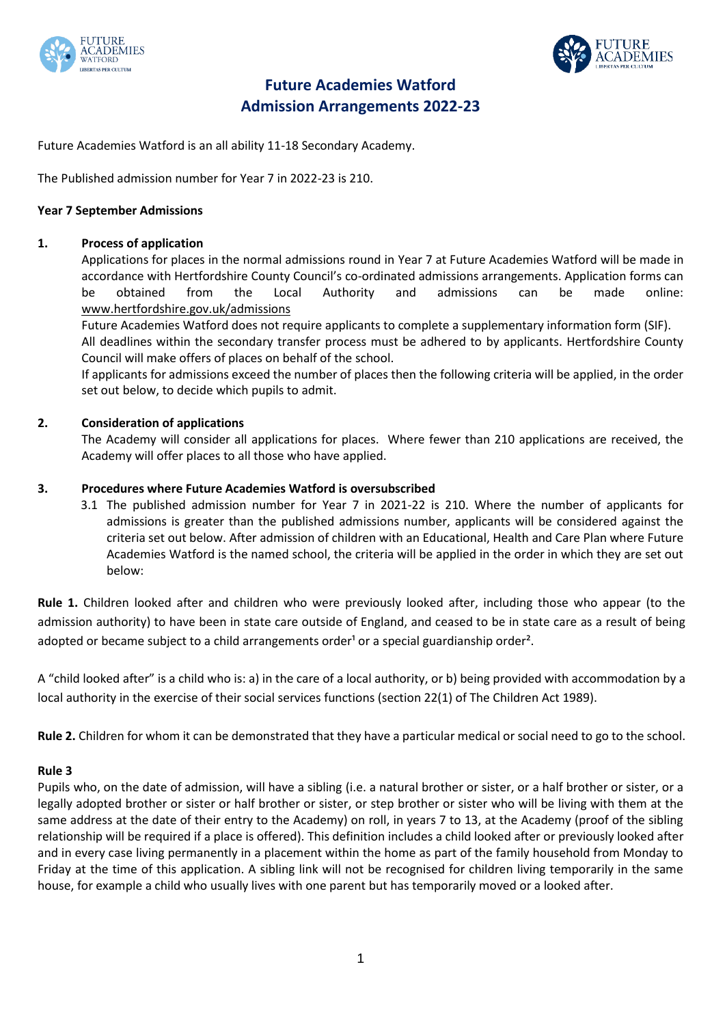



# **Future Academies Watford Admission Arrangements 2022-23**

Future Academies Watford is an all ability 11-18 Secondary Academy.

The Published admission number for Year 7 in 2022-23 is 210.

# **Year 7 September Admissions**

# **1. Process of application**

Applications for places in the normal admissions round in Year 7 at Future Academies Watford will be made in accordance with Hertfordshire County Council's co-ordinated admissions arrangements. Application forms can be obtained from the Local Authority and admissions can be made online: www.hertfordshire.gov.uk/admissions

Future Academies Watford does not require applicants to complete a supplementary information form (SIF).

All deadlines within the secondary transfer process must be adhered to by applicants. Hertfordshire County Council will make offers of places on behalf of the school.

If applicants for admissions exceed the number of places then the following criteria will be applied, in the order set out below, to decide which pupils to admit.

# **2. Consideration of applications**

The Academy will consider all applications for places. Where fewer than 210 applications are received, the Academy will offer places to all those who have applied.

# **3. Procedures where Future Academies Watford is oversubscribed**

3.1 The published admission number for Year 7 in 2021-22 is 210. Where the number of applicants for admissions is greater than the published admissions number, applicants will be considered against the criteria set out below. After admission of children with an Educational, Health and Care Plan where Future Academies Watford is the named school, the criteria will be applied in the order in which they are set out below:

**Rule 1.** Children looked after and children who were previously looked after, including those who appear (to the admission authority) to have been in state care outside of England, and ceased to be in state care as a result of being adopted or became subject to a child arrangements order<sup>1</sup> or a special guardianship order<sup>2</sup>.

A "child looked after" is a child who is: a) in the care of a local authority, or b) being provided with accommodation by a local authority in the exercise of their social services functions (section 22(1) of The Children Act 1989).

**Rule 2.** Children for whom it can be demonstrated that they have a particular medical or social need to go to the school.

# **Rule 3**

Pupils who, on the date of admission, will have a sibling (i.e. a natural brother or sister, or a half brother or sister, or a legally adopted brother or sister or half brother or sister, or step brother or sister who will be living with them at the same address at the date of their entry to the Academy) on roll, in years 7 to 13, at the Academy (proof of the sibling relationship will be required if a place is offered). This definition includes a child looked after or previously looked after and in every case living permanently in a placement within the home as part of the family household from Monday to Friday at the time of this application. A sibling link will not be recognised for children living temporarily in the same house, for example a child who usually lives with one parent but has temporarily moved or a looked after.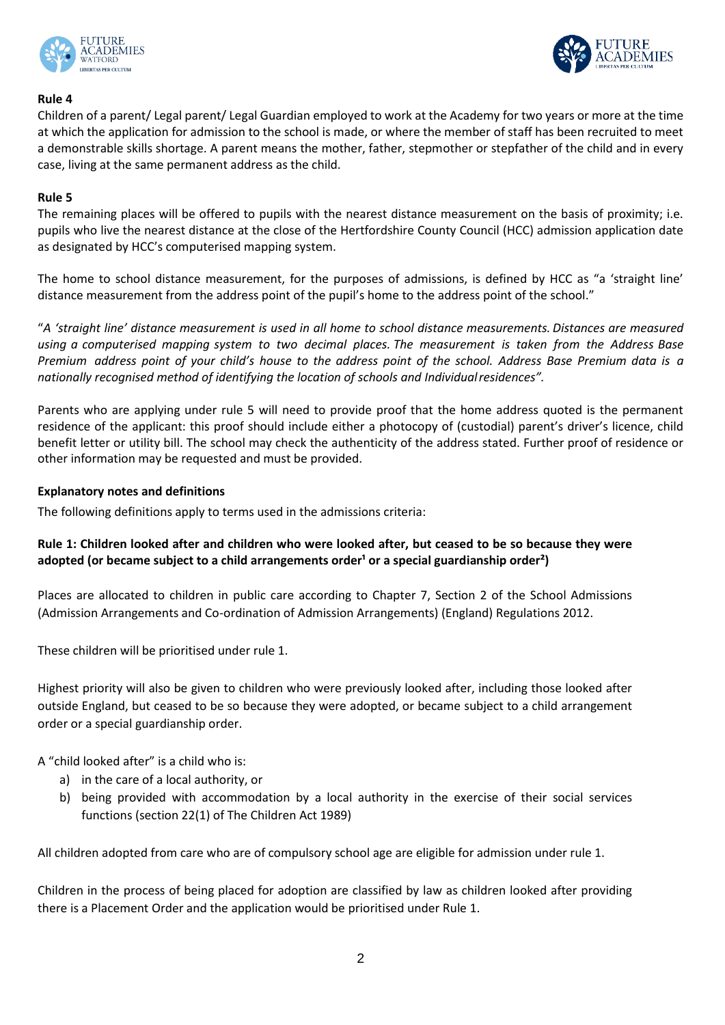



### **Rule 4**

Children of a parent/ Legal parent/ Legal Guardian employed to work at the Academy for two years or more at the time at which the application for admission to the school is made, or where the member of staff has been recruited to meet a demonstrable skills shortage. A parent means the mother, father, stepmother or stepfather of the child and in every case, living at the same permanent address as the child.

### **Rule 5**

The remaining places will be offered to pupils with the nearest distance measurement on the basis of proximity; i.e. pupils who live the nearest distance at the close of the Hertfordshire County Council (HCC) admission application date as designated by HCC's computerised mapping system.

The home to school distance measurement, for the purposes of admissions, is defined by HCC as "a 'straight line' distance measurement from the address point of the pupil's home to the address point of the school."

"*A 'straight line' distance measurement is used in all home to school distance measurements. Distances are measured using a computerised mapping system to two decimal places. The measurement is taken from the Address Base Premium address point of your child's house to the address point of the school. Address Base Premium data is a nationally recognised method of identifying the location of schools and Individualresidences".*

Parents who are applying under rule 5 will need to provide proof that the home address quoted is the permanent residence of the applicant: this proof should include either a photocopy of (custodial) parent's driver's licence, child benefit letter or utility bill. The school may check the authenticity of the address stated. Further proof of residence or other information may be requested and must be provided.

### **Explanatory notes and definitions**

The following definitions apply to terms used in the admissions criteria:

# **Rule 1: Children looked after and children who were looked after, but ceased to be so because they were**  adopted (or became subject to a child arrangements order<sup>1</sup> or a special guardianship order<sup>2</sup>)

Places are allocated to children in public care according to Chapter 7, Section 2 of the School Admissions (Admission Arrangements and Co-ordination of Admission Arrangements) (England) Regulations 2012.

These children will be prioritised under rule 1.

Highest priority will also be given to children who were previously looked after, including those looked after outside England, but ceased to be so because they were adopted, or became subject to a child arrangement order or a special guardianship order.

A "child looked after" is a child who is:

- a) in the care of a local authority, or
- b) being provided with accommodation by a local authority in the exercise of their social services functions (section 22(1) of The Children Act 1989)

All children adopted from care who are of compulsory school age are eligible for admission under rule 1.

Children in the process of being placed for adoption are classified by law as children looked after providing there is a Placement Order and the application would be prioritised under Rule 1.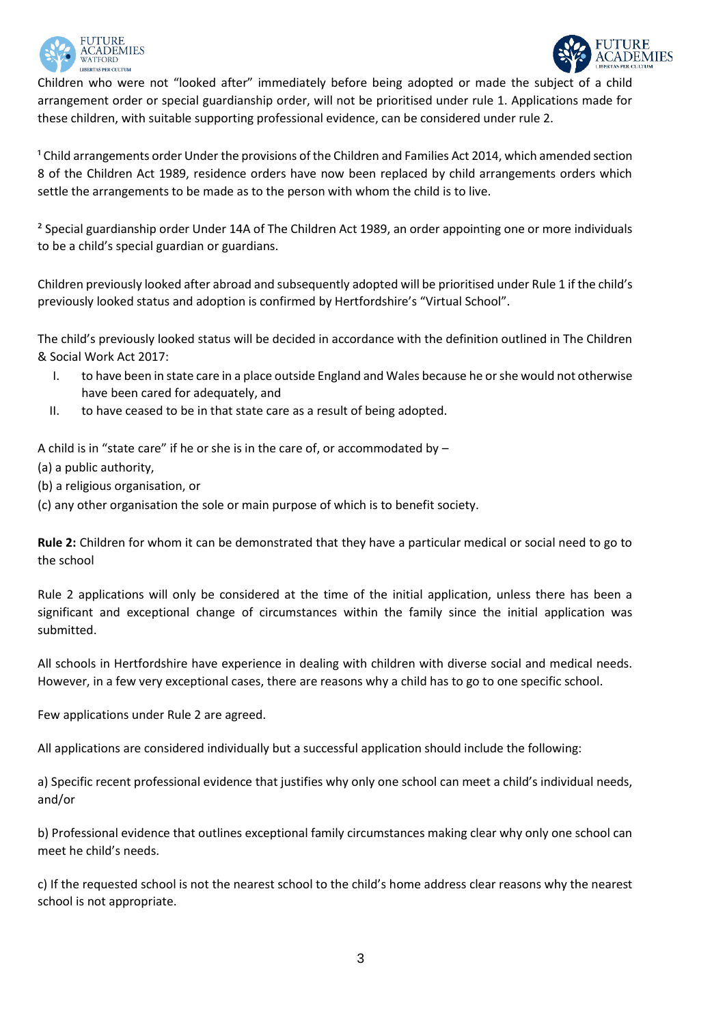



Children who were not "looked after" immediately before being adopted or made the subject of a child arrangement order or special guardianship order, will not be prioritised under rule 1. Applications made for these children, with suitable supporting professional evidence, can be considered under rule 2.

<sup>1</sup> Child arrangements order Under the provisions of the Children and Families Act 2014, which amended section 8 of the Children Act 1989, residence orders have now been replaced by child arrangements orders which settle the arrangements to be made as to the person with whom the child is to live.

² Special guardianship order Under 14A of The Children Act 1989, an order appointing one or more individuals to be a child's special guardian or guardians.

Children previously looked after abroad and subsequently adopted will be prioritised under Rule 1 if the child's previously looked status and adoption is confirmed by Hertfordshire's "Virtual School".

The child's previously looked status will be decided in accordance with the definition outlined in The Children & Social Work Act 2017:

- I. to have been in state care in a place outside England and Wales because he or she would not otherwise have been cared for adequately, and
- II. to have ceased to be in that state care as a result of being adopted.

A child is in "state care" if he or she is in the care of, or accommodated by –

- (a) a public authority,
- (b) a religious organisation, or
- (c) any other organisation the sole or main purpose of which is to benefit society.

**Rule 2:** Children for whom it can be demonstrated that they have a particular medical or social need to go to the school

Rule 2 applications will only be considered at the time of the initial application, unless there has been a significant and exceptional change of circumstances within the family since the initial application was submitted.

All schools in Hertfordshire have experience in dealing with children with diverse social and medical needs. However, in a few very exceptional cases, there are reasons why a child has to go to one specific school.

Few applications under Rule 2 are agreed.

All applications are considered individually but a successful application should include the following:

a) Specific recent professional evidence that justifies why only one school can meet a child's individual needs, and/or

b) Professional evidence that outlines exceptional family circumstances making clear why only one school can meet he child's needs.

c) If the requested school is not the nearest school to the child's home address clear reasons why the nearest school is not appropriate.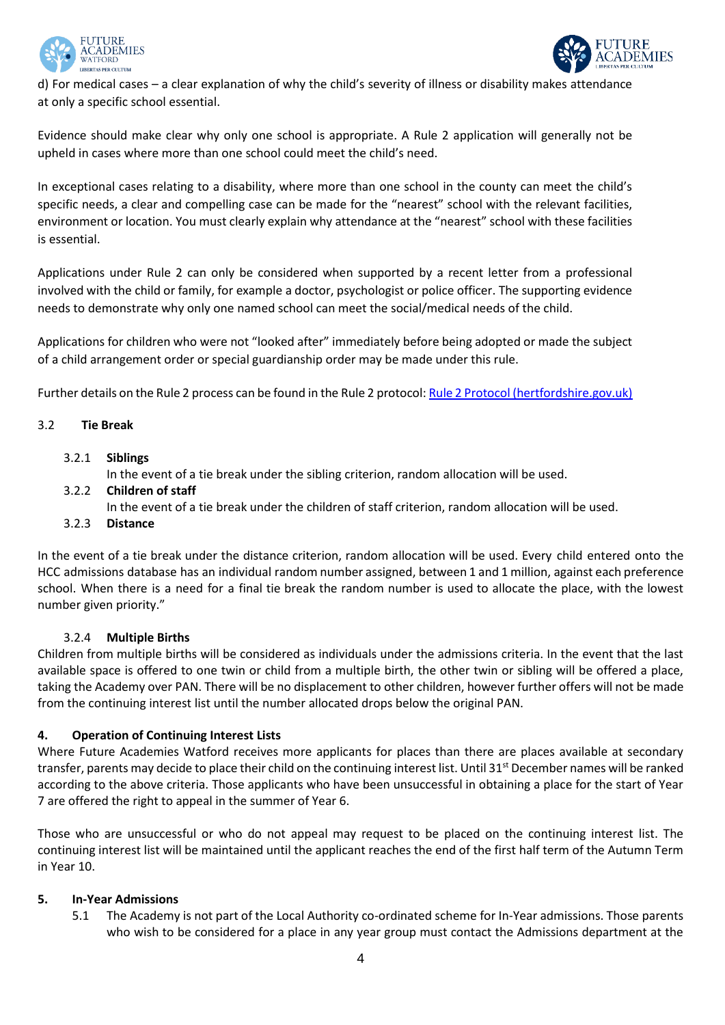



d) For medical cases – a clear explanation of why the child's severity of illness or disability makes attendance at only a specific school essential.

Evidence should make clear why only one school is appropriate. A Rule 2 application will generally not be upheld in cases where more than one school could meet the child's need.

In exceptional cases relating to a disability, where more than one school in the county can meet the child's specific needs, a clear and compelling case can be made for the "nearest" school with the relevant facilities, environment or location. You must clearly explain why attendance at the "nearest" school with these facilities is essential.

Applications under Rule 2 can only be considered when supported by a recent letter from a professional involved with the child or family, for example a doctor, psychologist or police officer. The supporting evidence needs to demonstrate why only one named school can meet the social/medical needs of the child.

Applications for children who were not "looked after" immediately before being adopted or made the subject of a child arrangement order or special guardianship order may be made under this rule.

Further details on the Rule 2 process can be found in the Rule 2 protocol: [Rule 2 Protocol \(hertfordshire.gov.uk\)](https://www.hertfordshire.gov.uk/media-library/documents/schools-and-education/admissions/rule-2-protocol.pdf)

# 3.2 **Tie Break**

3.2.1 **Siblings**

In the event of a tie break under the sibling criterion, random allocation will be used.

3.2.2 **Children of staff**

In the event of a tie break under the children of staff criterion, random allocation will be used.

3.2.3 **Distance**

In the event of a tie break under the distance criterion, random allocation will be used. Every child entered onto the HCC admissions database has an individual random number assigned, between 1 and 1 million, against each preference school. When there is a need for a final tie break the random number is used to allocate the place, with the lowest number given priority."

# 3.2.4 **Multiple Births**

Children from multiple births will be considered as individuals under the admissions criteria. In the event that the last available space is offered to one twin or child from a multiple birth, the other twin or sibling will be offered a place, taking the Academy over PAN. There will be no displacement to other children, however further offers will not be made from the continuing interest list until the number allocated drops below the original PAN.

# **4. Operation of Continuing Interest Lists**

Where Future Academies Watford receives more applicants for places than there are places available at secondary transfer, parents may decide to place their child on the continuing interest list. Until 31<sup>st</sup> December names will be ranked according to the above criteria. Those applicants who have been unsuccessful in obtaining a place for the start of Year 7 are offered the right to appeal in the summer of Year 6.

Those who are unsuccessful or who do not appeal may request to be placed on the continuing interest list. The continuing interest list will be maintained until the applicant reaches the end of the first half term of the Autumn Term in Year 10.

# **5. In-Year Admissions**

5.1 The Academy is not part of the Local Authority co-ordinated scheme for In-Year admissions. Those parents who wish to be considered for a place in any year group must contact the Admissions department at the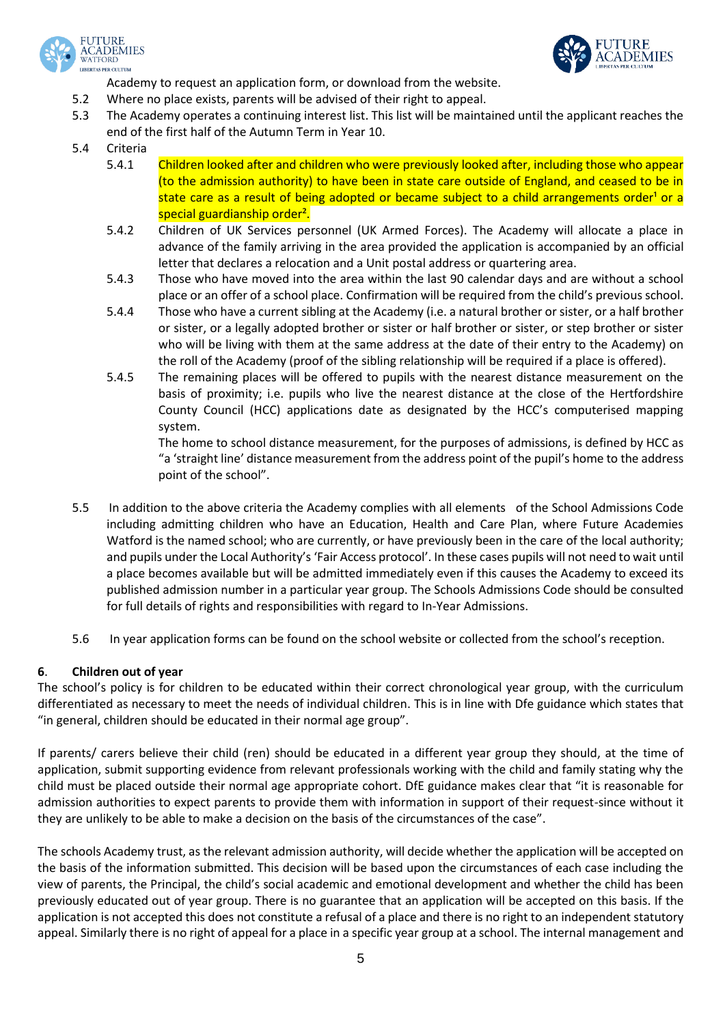



Academy to request an application form, or download from the website.

- 5.2 Where no place exists, parents will be advised of their right to appeal.
- 5.3 The Academy operates a continuing interest list. This list will be maintained until the applicant reaches the end of the first half of the Autumn Term in Year 10.
- 5.4 Criteria
	- 5.4.1 Children looked after and children who were previously looked after, including those who appear (to the admission authority) to have been in state care outside of England, and ceased to be in state care as a result of being adopted or became subject to a child arrangements order<sup>1</sup> or a special guardianship order<sup>2</sup>.
	- 5.4.2 Children of UK Services personnel (UK Armed Forces). The Academy will allocate a place in advance of the family arriving in the area provided the application is accompanied by an official letter that declares a relocation and a Unit postal address or quartering area.
	- 5.4.3 Those who have moved into the area within the last 90 calendar days and are without a school place or an offer of a school place. Confirmation will be required from the child's previous school.
	- 5.4.4 Those who have a current sibling at the Academy (i.e. a natural brother or sister, or a half brother or sister, or a legally adopted brother or sister or half brother or sister, or step brother or sister who will be living with them at the same address at the date of their entry to the Academy) on the roll of the Academy (proof of the sibling relationship will be required if a place is offered).
	- 5.4.5 The remaining places will be offered to pupils with the nearest distance measurement on the basis of proximity; i.e. pupils who live the nearest distance at the close of the Hertfordshire County Council (HCC) applications date as designated by the HCC's computerised mapping system.

The home to school distance measurement, for the purposes of admissions, is defined by HCC as "a 'straight line' distance measurement from the address point of the pupil's home to the address point of the school".

- 5.5 In addition to the above criteria the Academy complies with all elements of the School Admissions Code including admitting children who have an Education, Health and Care Plan, where Future Academies Watford is the named school; who are currently, or have previously been in the care of the local authority; and pupils under the Local Authority's 'Fair Access protocol'. In these cases pupils will not need to wait until a place becomes available but will be admitted immediately even if this causes the Academy to exceed its published admission number in a particular year group. The Schools Admissions Code should be consulted for full details of rights and responsibilities with regard to In-Year Admissions.
- 5.6 In year application forms can be found on the school website or collected from the school's reception.

# **6**. **Children out of year**

The school's policy is for children to be educated within their correct chronological year group, with the curriculum differentiated as necessary to meet the needs of individual children. This is in line with Dfe guidance which states that "in general, children should be educated in their normal age group".

If parents/ carers believe their child (ren) should be educated in a different year group they should, at the time of application, submit supporting evidence from relevant professionals working with the child and family stating why the child must be placed outside their normal age appropriate cohort. DfE guidance makes clear that "it is reasonable for admission authorities to expect parents to provide them with information in support of their request-since without it they are unlikely to be able to make a decision on the basis of the circumstances of the case".

The schools Academy trust, as the relevant admission authority, will decide whether the application will be accepted on the basis of the information submitted. This decision will be based upon the circumstances of each case including the view of parents, the Principal, the child's social academic and emotional development and whether the child has been previously educated out of year group. There is no guarantee that an application will be accepted on this basis. If the application is not accepted this does not constitute a refusal of a place and there is no right to an independent statutory appeal. Similarly there is no right of appeal for a place in a specific year group at a school. The internal management and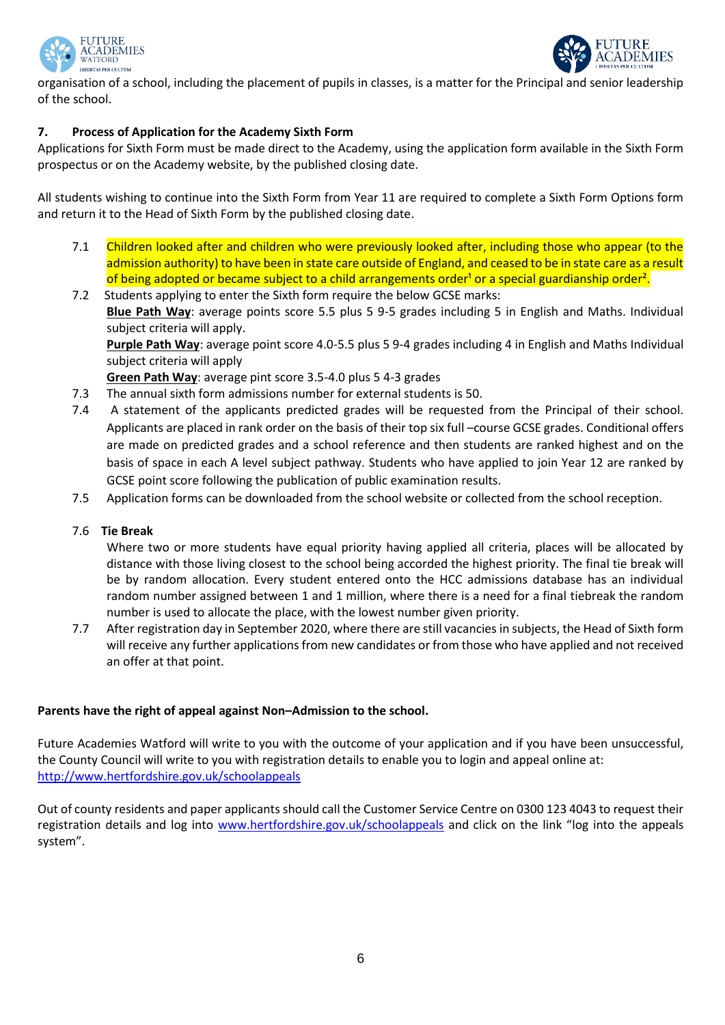



organisation of a school, including the placement of pupils in classes, is a matter for the Principal and senior leadership of the school.

# **7. Process of Application for the Academy Sixth Form**

Applications for Sixth Form must be made direct to the Academy, using the application form available in the Sixth Form prospectus or on the Academy website, by the published closing date.

All students wishing to continue into the Sixth Form from Year 11 are required to complete a Sixth Form Options form and return it to the Head of Sixth Form by the published closing date.

- 7.1 Children looked after and children who were previously looked after, including those who appear (to the admission authority) to have been in state care outside of England, and ceased to be in state care as a result of being adopted or became subject to a child arrangements order<sup>1</sup> or a special guardianship order<sup>2</sup>.
- 7.2 Students applying to enter the Sixth form require the below GCSE marks: **Blue Path Way**: average points score 5.5 plus 5 9-5 grades including 5 in English and Maths. Individual subject criteria will apply. **Purple Path Way**: average point score 4.0-5.5 plus 5 9-4 grades including 4 in English and Maths Individual subject criteria will apply **Green Path Way**: average pint score 3.5-4.0 plus 5 4-3 grades
- 7.3 The annual sixth form admissions number for external students is 50.
- 7.4 A statement of the applicants predicted grades will be requested from the Principal of their school. Applicants are placed in rank order on the basis of their top six full –course GCSE grades. Conditional offers are made on predicted grades and a school reference and then students are ranked highest and on the basis of space in each A level subject pathway. Students who have applied to join Year 12 are ranked by GCSE point score following the publication of public examination results.
- 7.5 Application forms can be downloaded from the school website or collected from the school reception.

# 7.6 **Tie Break**

Where two or more students have equal priority having applied all criteria, places will be allocated by distance with those living closest to the school being accorded the highest priority. The final tie break will be by random allocation. Every student entered onto the HCC admissions database has an individual random number assigned between 1 and 1 million, where there is a need for a final tiebreak the random number is used to allocate the place, with the lowest number given priority.

7.7 After registration day in September 2020, where there are still vacancies in subjects, the Head of Sixth form will receive any further applications from new candidates or from those who have applied and not received an offer at that point.

# **Parents have the right of appeal against Non–Admission to the school.**

Future Academies Watford will write to you with the outcome of your application and if you have been unsuccessful, the County Council will write to you with registration details to enable you to login and appeal online at: <http://www.hertfordshire.gov.uk/schoolappeals>

Out of county residents and paper applicants should call the Customer Service Centre on 0300 123 4043 to request their registration details and log into [www.hertfordshire.gov.uk/schoolappeals](http://www.hertfordshire.gov.uk/schoolappeals) and click on the link "log into the appeals system".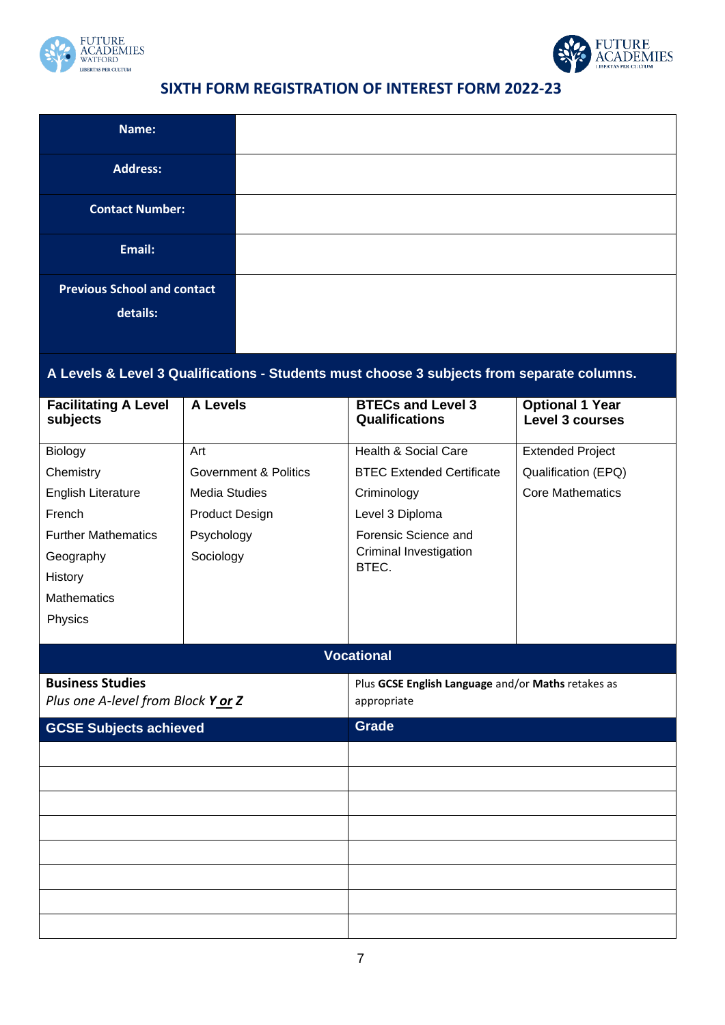



# **SIXTH FORM REGISTRATION OF INTEREST FORM 2022-23**

| Name:                                   |                                  |                                                                                            |                                                  |
|-----------------------------------------|----------------------------------|--------------------------------------------------------------------------------------------|--------------------------------------------------|
| <b>Address:</b>                         |                                  |                                                                                            |                                                  |
| <b>Contact Number:</b>                  |                                  |                                                                                            |                                                  |
| Email:                                  |                                  |                                                                                            |                                                  |
| <b>Previous School and contact</b>      |                                  |                                                                                            |                                                  |
| details:                                |                                  |                                                                                            |                                                  |
|                                         |                                  |                                                                                            |                                                  |
|                                         |                                  | A Levels & Level 3 Qualifications - Students must choose 3 subjects from separate columns. |                                                  |
| <b>Facilitating A Level</b><br>subjects | <b>A Levels</b>                  | <b>BTECs and Level 3</b><br><b>Qualifications</b>                                          | <b>Optional 1 Year</b><br><b>Level 3 courses</b> |
| Biology                                 | Art                              | <b>Health &amp; Social Care</b>                                                            | <b>Extended Project</b>                          |
| Chemistry                               | <b>Government &amp; Politics</b> | <b>BTEC Extended Certificate</b>                                                           | Qualification (EPQ)                              |
| English Literature                      | <b>Media Studies</b>             | Criminology                                                                                | <b>Core Mathematics</b>                          |
| French                                  | <b>Product Design</b>            | Level 3 Diploma                                                                            |                                                  |
| <b>Further Mathematics</b>              | Psychology                       | Forensic Science and                                                                       |                                                  |
| Geography                               | Sociology                        | <b>Criminal Investigation</b><br>BTEC.                                                     |                                                  |
| History                                 |                                  |                                                                                            |                                                  |
| <b>Mathematics</b>                      |                                  |                                                                                            |                                                  |
| Physics                                 |                                  |                                                                                            |                                                  |
|                                         |                                  |                                                                                            |                                                  |
|                                         |                                  | <b>Vocational</b>                                                                          |                                                  |
| <b>Business Studies</b>                 |                                  | Plus GCSE English Language and/or Maths retakes as                                         |                                                  |
| Plus one A-level from Block Y or Z      |                                  | appropriate                                                                                |                                                  |

| <b>GCSE Subjects achieved</b> | Grade |
|-------------------------------|-------|
|                               |       |
|                               |       |
|                               |       |
|                               |       |
|                               |       |
|                               |       |
|                               |       |
|                               |       |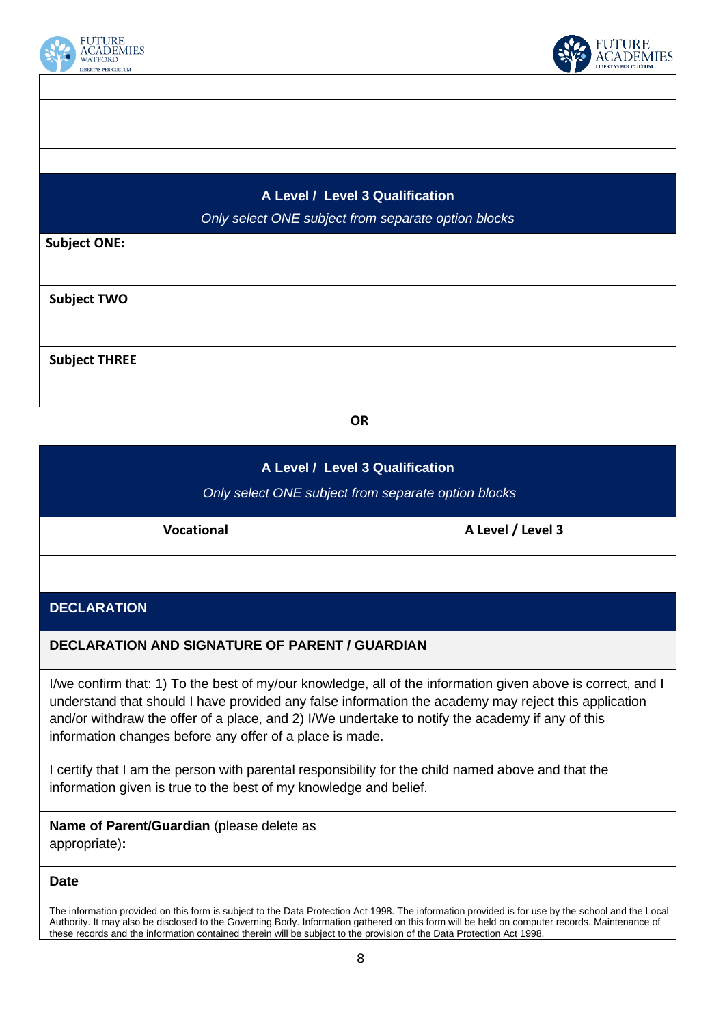



# **A Level / Level 3 Qualification**

*Only select ONE subject from separate option blocks*

**Subject ONE:**

**Subject TWO**

**Subject THREE**

**OR**

| A Level / Level 3 Qualification<br>Only select ONE subject from separate option blocks                                                                                  |                                                                                                                                                                                                                                                                                                    |  |
|-------------------------------------------------------------------------------------------------------------------------------------------------------------------------|----------------------------------------------------------------------------------------------------------------------------------------------------------------------------------------------------------------------------------------------------------------------------------------------------|--|
| <b>Vocational</b>                                                                                                                                                       | A Level / Level 3                                                                                                                                                                                                                                                                                  |  |
|                                                                                                                                                                         |                                                                                                                                                                                                                                                                                                    |  |
| <b>DECLARATION</b>                                                                                                                                                      |                                                                                                                                                                                                                                                                                                    |  |
| <b>DECLARATION AND SIGNATURE OF PARENT / GUARDIAN</b>                                                                                                                   |                                                                                                                                                                                                                                                                                                    |  |
| and/or withdraw the offer of a place, and 2) I/We undertake to notify the academy if any of this<br>information changes before any offer of a place is made.            | I/we confirm that: 1) To the best of my/our knowledge, all of the information given above is correct, and I<br>understand that should I have provided any false information the academy may reject this application                                                                                |  |
| I certify that I am the person with parental responsibility for the child named above and that the<br>information given is true to the best of my knowledge and belief. |                                                                                                                                                                                                                                                                                                    |  |
| Name of Parent/Guardian (please delete as<br>appropriate):                                                                                                              |                                                                                                                                                                                                                                                                                                    |  |
| <b>Date</b>                                                                                                                                                             |                                                                                                                                                                                                                                                                                                    |  |
| these records and the information contained therein will be subject to the provision of the Data Protection Act 1998.                                                   | The information provided on this form is subject to the Data Protection Act 1998. The information provided is for use by the school and the Local<br>Authority. It may also be disclosed to the Governing Body. Information gathered on this form will be held on computer records. Maintenance of |  |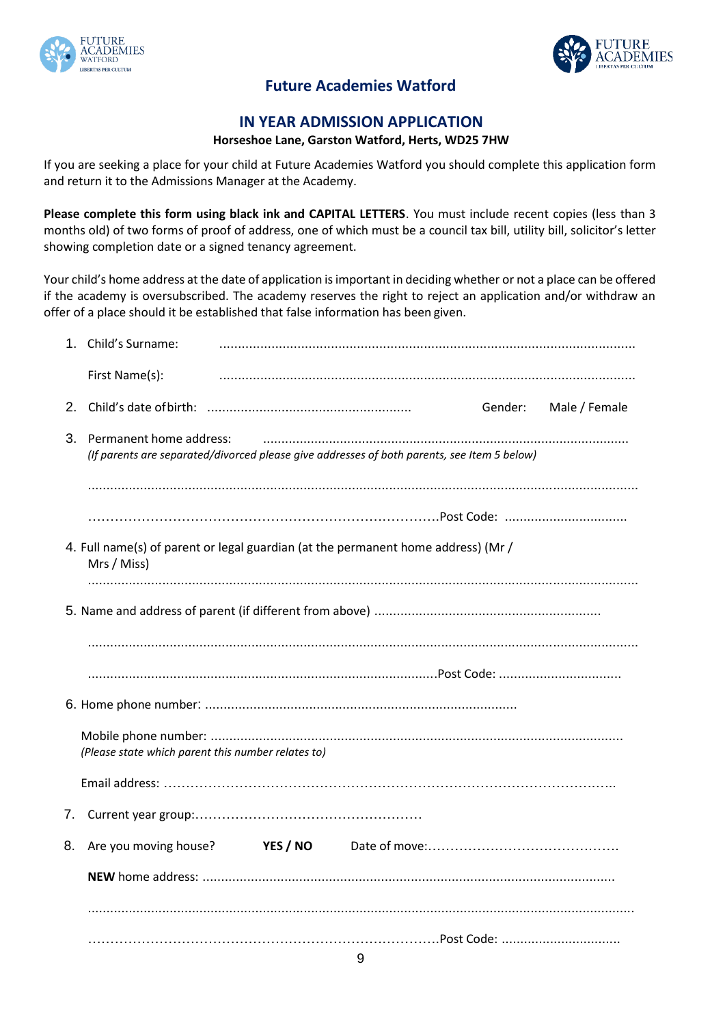



# **Future Academies Watford**

# **IN YEAR ADMISSION APPLICATION**

# **Horseshoe Lane, Garston Watford, Herts, WD25 7HW**

If you are seeking a place for your child at Future Academies Watford you should complete this application form and return it to the Admissions Manager at the Academy.

**Please complete this form using black ink and CAPITAL LETTERS**. You must include recent copies (less than 3 months old) of two forms of proof of address, one of which must be a council tax bill, utility bill, solicitor's letter showing completion date or a signed tenancy agreement.

Your child's home address at the date of application is important in deciding whether or not a place can be offered if the academy is oversubscribed. The academy reserves the right to reject an application and/or withdraw an offer of a place should it be established that false information has been given.

|    | 1. Child's Surname:                                                                                                       |         |               |
|----|---------------------------------------------------------------------------------------------------------------------------|---------|---------------|
|    | First Name(s):                                                                                                            |         |               |
|    |                                                                                                                           | Gender: | Male / Female |
|    | 3. Permanent home address:<br>(If parents are separated/divorced please give addresses of both parents, see Item 5 below) |         |               |
|    |                                                                                                                           |         |               |
|    | 4. Full name(s) of parent or legal guardian (at the permanent home address) (Mr /<br>Mrs / Miss)                          |         |               |
|    |                                                                                                                           |         |               |
|    |                                                                                                                           |         |               |
|    |                                                                                                                           |         |               |
|    |                                                                                                                           |         |               |
|    | (Please state which parent this number relates to)                                                                        |         |               |
|    |                                                                                                                           |         |               |
| 7. |                                                                                                                           |         |               |
| 8. | Are you moving house?<br><b>YES / NO</b>                                                                                  |         |               |
|    |                                                                                                                           |         |               |
|    |                                                                                                                           |         |               |
|    | $\sim$                                                                                                                    |         |               |